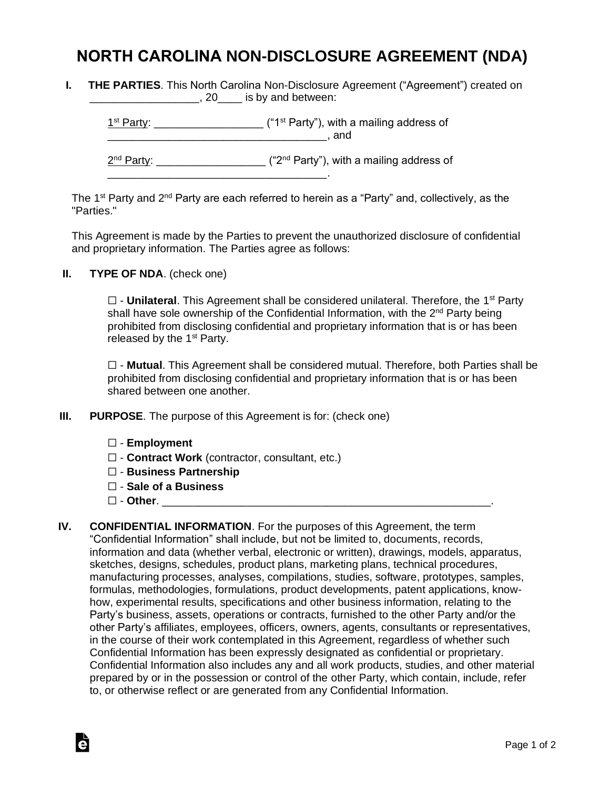## **NORTH CAROLINA NON-DISCLOSURE AGREEMENT (NDA)**

**I. THE PARTIES**. This North Carolina Non-Disclosure Agreement ("Agreement") created on **\_\_\_\_\_\_\_\_\_\_\_\_\_\_\_\_\_\_**, 20\_\_\_\_\_ is by and between:

 $1<sup>st</sup> Party: _______$  $\blacksquare$  and 2<sup>nd</sup> Party: \_\_\_\_\_\_\_\_\_\_\_\_\_\_\_\_\_\_\_\_ ("2<sup>nd</sup> Party"), with a mailing address of \_\_\_\_\_\_\_\_\_\_\_\_\_\_\_\_\_\_\_\_\_\_\_\_\_\_\_\_\_\_\_\_\_\_\_\_.

The 1<sup>st</sup> Party and 2<sup>nd</sup> Party are each referred to herein as a "Party" and, collectively, as the "Parties."

This Agreement is made by the Parties to prevent the unauthorized disclosure of confidential and proprietary information. The Parties agree as follows:

**II. TYPE OF NDA**. (check one)

□ - **Unilateral**. This Agreement shall be considered unilateral. Therefore, the 1<sup>st</sup> Party shall have sole ownership of the Confidential Information, with the 2<sup>nd</sup> Party being prohibited from disclosing confidential and proprietary information that is or has been released by the  $1<sup>st</sup>$  Party.

☐ - **Mutual**. This Agreement shall be considered mutual. Therefore, both Parties shall be prohibited from disclosing confidential and proprietary information that is or has been shared between one another.

- **III. PURPOSE**. The purpose of this Agreement is for: (check one)
	- ☐ **Employment**
	- ☐ **Contract Work** (contractor, consultant, etc.)
	- ☐ **Business Partnership**
	- ☐ **Sale of a Business**
	- ☐ **Other**. \_\_\_\_\_\_\_\_\_\_\_\_\_\_\_\_\_\_\_\_\_\_\_\_\_\_\_\_\_\_\_\_\_\_\_\_\_\_\_\_\_\_\_\_\_\_\_\_\_\_\_\_\_\_.

Ġ

**IV. CONFIDENTIAL INFORMATION**. For the purposes of this Agreement, the term "Confidential Information" shall include, but not be limited to, documents, records, information and data (whether verbal, electronic or written), drawings, models, apparatus, sketches, designs, schedules, product plans, marketing plans, technical procedures, manufacturing processes, analyses, compilations, studies, software, prototypes, samples, formulas, methodologies, formulations, product developments, patent applications, knowhow, experimental results, specifications and other business information, relating to the Party's business, assets, operations or contracts, furnished to the other Party and/or the other Party's affiliates, employees, officers, owners, agents, consultants or representatives, in the course of their work contemplated in this Agreement, regardless of whether such Confidential Information has been expressly designated as confidential or proprietary. Confidential Information also includes any and all work products, studies, and other material prepared by or in the possession or control of the other Party, which contain, include, refer to, or otherwise reflect or are generated from any Confidential Information.